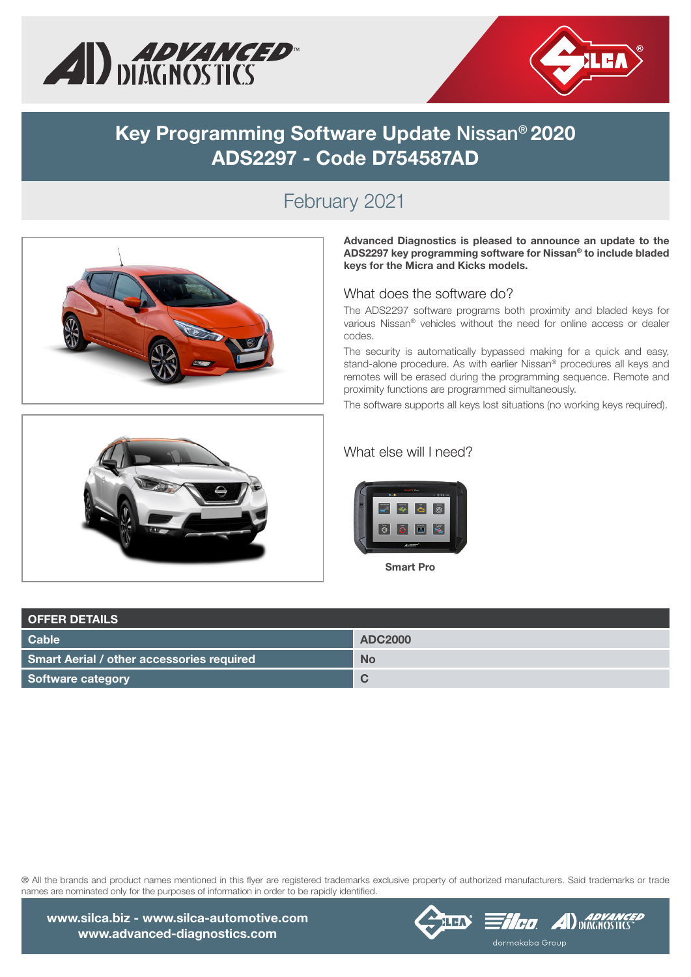



# **Key Programming Software Update** Nissan® **2020 ADS2297 - Code D754587AD**

# February 2021



Advanced Diagnostics is pleased to announce an update to the ADS2297 key programming software for Nissan® to include bladed keys for the Micra and Kicks models.

#### What does the software do?

The ADS2297 software programs both proximity and bladed keys for various Nissan® vehicles without the need for online access or dealer codes.

The security is automatically bypassed making for a quick and easy, stand-alone procedure. As with earlier Nissan® procedures all keys and remotes will be erased during the programming sequence. Remote and proximity functions are programmed simultaneously.

The software supports all keys lost situations (no working keys required).



### What else will I need?



Smart Pro

| <b>OFFER DETAILS</b>                      |                |  |  |  |  |
|-------------------------------------------|----------------|--|--|--|--|
| Cable                                     | <b>ADC2000</b> |  |  |  |  |
| Smart Aerial / other accessories required | <b>No</b>      |  |  |  |  |
| Software category                         | $\sim$         |  |  |  |  |

® All the brands and product names mentioned in this flyer are registered trademarks exclusive property of authorized manufacturers. Said trademarks or trade names are nominated only for the purposes of information in order to be rapidly identified.